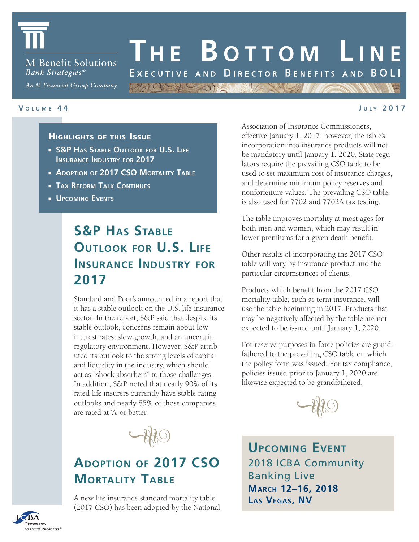

**M** Benefit Solutions Bank Strategies<sup>®</sup>

An M Financial Group Company

#### **V <sup>o</sup> l u <sup>m</sup> e 4 4**

#### **J u l y 2 0 1 7**

### Highlights of this Issue

- **S&P Has Stable Outlook for U.S. Life Insurance Industry for 2017**
- **Adoption of 2017 CSO Mortality Table**
- **Tax Reform Talk Continues**
- **Upcoming Events**

# **S&P HAS STABLE Outlook for U.S. Life Insurance Industry for 2017**

Standard and Poor's announced in a report that it has a stable outlook on the U.S. life insurance sector. In the report, S&P said that despite its stable outlook, concerns remain about low interest rates, slow growth, and an uncertain regulatory environment. However, S&P attributed its outlook to the strong levels of capital and liquidity in the industry, which should act as "shock absorbers" to those challenges. In addition, S&P noted that nearly 90% of its rated life insurers currently have stable rating outlooks and nearly 85% of those companies are rated at 'A' or better.



# **Adoption of 2017 CSO Mortality Table**

A new life insurance standard mortality table (2017 CSO) has been adopted by the National Association of Insurance Commissioners, effective January 1, 2017; however, the table's incorporation into insurance products will not be mandatory until January 1, 2020. State regulators require the prevailing CSO table to be used to set maximum cost of insurance charges, and determine minimum policy reserves and nonforfeiture values. The prevailing CSO table is also used for 7702 and 7702A tax testing.

**Th e B <sup>o</sup> tt o m L i n e**

EXECUTIVE AND DIRECTOR BENEFITS AND BOLI

MOIS Y ORNE SUN

The table improves mortality at most ages for both men and women, which may result in lower premiums for a given death benefit.

Other results of incorporating the 2017 CSO table will vary by insurance product and the particular circumstances of clients.

Products which benefit from the 2017 CSO mortality table, such as term insurance, will use the table beginning in 2017. Products that may be negatively affected by the table are not expected to be issued until January 1, 2020.

For reserve purposes in-force policies are grandfathered to the prevailing CSO table on which the policy form was issued. For tax compliance, policies issued prior to January 1, 2020 are likewise expected to be grandfathered.



**Upcoming Event** 2018 ICBA Community Banking Live **March 12–16, 2018 Las Vegas, NV**

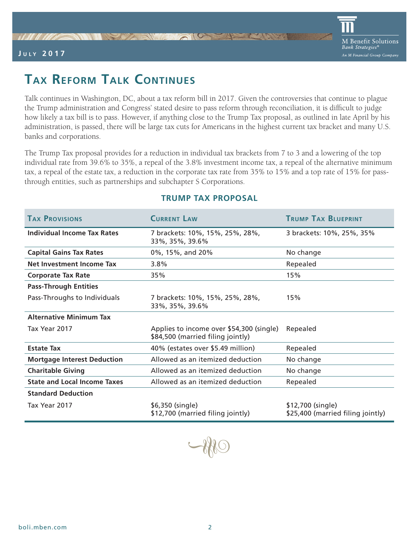### **J u l y 2 0 1 7**

# **Tax Reform Talk Continues**

Talk continues in Washington, DC, about a tax reform bill in 2017. Given the controversies that continue to plague the Trump administration and Congress' stated desire to pass reform through reconciliation, it is difficult to judge how likely a tax bill is to pass. However, if anything close to the Trump Tax proposal, as outlined in late April by his administration, is passed, there will be large tax cuts for Americans in the highest current tax bracket and many U.S. banks and corporations.

The Trump Tax proposal provides for a reduction in individual tax brackets from 7 to 3 and a lowering of the top individual rate from 39.6% to 35%, a repeal of the 3.8% investment income tax, a repeal of the alternative minimum tax, a repeal of the estate tax, a reduction in the corporate tax rate from 35% to 15% and a top rate of 15% for passthrough entities, such as partnerships and subchapter S Corporations.

| <b>TAX PROVISIONS</b>               | <b>CURRENT LAW</b>                                                            | <b>TRUMP TAX BLUEPRINT</b>                             |
|-------------------------------------|-------------------------------------------------------------------------------|--------------------------------------------------------|
| <b>Individual Income Tax Rates</b>  | 7 brackets: 10%, 15%, 25%, 28%,<br>33%, 35%, 39.6%                            | 3 brackets: 10%, 25%, 35%                              |
| <b>Capital Gains Tax Rates</b>      | 0%, 15%, and 20%                                                              | No change                                              |
| Net Investment Income Tax           | $3.8\%$                                                                       | Repealed                                               |
| <b>Corporate Tax Rate</b>           | 35%                                                                           | 15%                                                    |
| <b>Pass-Through Entities</b>        |                                                                               |                                                        |
| Pass-Throughs to Individuals        | 7 brackets: 10%, 15%, 25%, 28%,<br>33%, 35%, 39.6%                            | 15%                                                    |
| <b>Alternative Minimum Tax</b>      |                                                                               |                                                        |
| Tax Year 2017                       | Applies to income over \$54,300 (single)<br>\$84,500 (married filing jointly) | Repealed                                               |
| <b>Estate Tax</b>                   | 40% (estates over \$5.49 million)                                             | Repealed                                               |
| <b>Mortgage Interest Deduction</b>  | Allowed as an itemized deduction                                              | No change                                              |
| <b>Charitable Giving</b>            | Allowed as an itemized deduction                                              | No change                                              |
| <b>State and Local Income Taxes</b> | Allowed as an itemized deduction                                              | Repealed                                               |
| <b>Standard Deduction</b>           |                                                                               |                                                        |
| Tax Year 2017                       | \$6,350 (single)<br>\$12,700 (married filing jointly)                         | \$12,700 (single)<br>\$25,400 (married filing jointly) |

## **TRUMP TAX PROPOSAL**

-180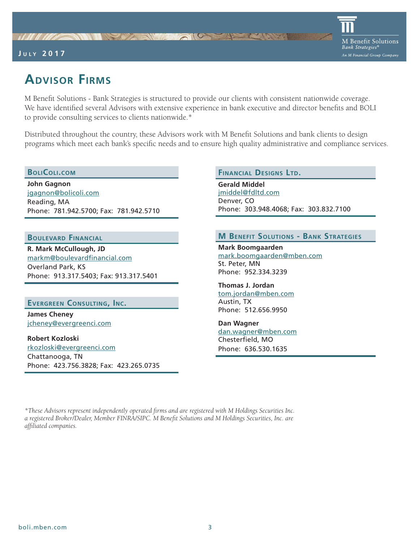### **J u l y 2 0 1 7**



# **Advisor Firms**

M Benefit Solutions - Bank Strategies is structured to provide our clients with consistent nationwide coverage. We have identified several Advisors with extensive experience in bank executive and director benefits and BOLI to provide consulting services to clients nationwide.\*

Distributed throughout the country, these Advisors work with M Benefit Solutions and bank clients to design programs which meet each bank's specific needs and to ensure high quality administrative and compliance services.

#### **BoliColi.com**

**John Gagnon** jgagnon@bolicoli.com Reading, MA Phone: 781.942.5700; Fax: 781.942.5710

NI STAN

#### **Boulevard Financial**

**R. Mark McCullough, JD** markm@boulevardfinancial.com Overland Park, KS Phone: 913.317.5403; Fax: 913.317.5401

### **Evergreen Consulting, Inc.**

**James Cheney** jcheney@evergreenci.com

**Robert Kozloski** rkozloski@evergreenci.com Chattanooga, TN Phone: 423.756.3828; Fax: 423.265.0735

#### **Financial Designs Ltd.**

**Gerald Middel** jmiddel@fdltd.com Denver, CO Phone: 303.948.4068; Fax: 303.832.7100

### **M Benefit Solutions - Bank Strategies**

**Mark Boomgaarden** mark.boomgaarden@mben.com St. Peter, MN Phone: 952.334.3239

**Thomas J. Jordan** tom.jordan@mben.com Austin, TX Phone: 512.656.9950

**Dan Wagner** dan.wagner@mben.com Chesterfield, MO Phone: 636.530.1635

*\*These Advisors represent independently operated firms and are registered with M Holdings Securities Inc. a registered Broker/Dealer, Member FINRA/SIPC. M Benefit Solutions and M Holdings Securities, Inc. are affiliated companies.*